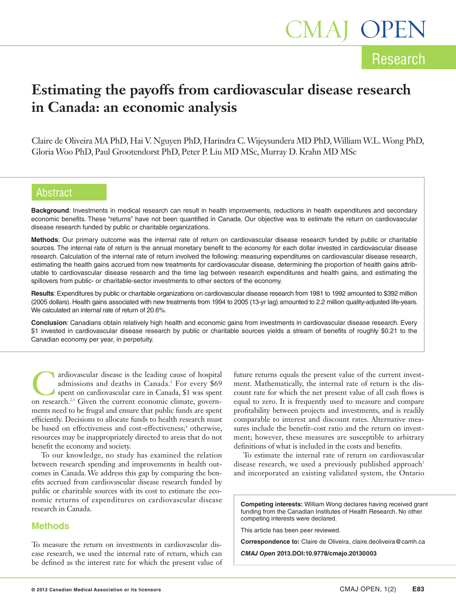## Research

1AJ OPEN

## **Estimating the payoffs from cardiovascular disease research in Canada: an economic analysis**

Claire de Oliveira MA PhD, Hai V. Nguyen PhD, Harindra C.Wijeysundera MD PhD,WilliamW.L.Wong PhD, GloriaWoo PhD, Paul Grootendorst PhD, Peter P. Liu MD MSc, Murray D. Krahn MD MSc

## Abstract

**Background**: Investments in medical research can result in health improvements, reductions in health expenditures and secondary economic benefits. These "returns" have not been quantified in Canada. Our objective was to estimate the return on cardiovascular disease research funded by public or charitable organizations.

**Methods**: Our primary outcome was the internal rate of return on cardiovascular disease research funded by public or charitable sources. The internal rate of return is the annual monetary benefit to the economy for each dollar invested in cardiovascular disease research. Calculation of the internal rate of return involved the following: measuring expenditures on cardiovascular disease research, estimating the health gains accrued from new treatments for cardiovascular disease, determining the proportion of health gains attributable to cardiovascular disease research and the time lag between research expenditures and health gains, and estimating the spillovers from public- or charitable-sector investments to other sectors of the economy.

**Results**: Expenditures by public or charitable organizations on cardiovascular disease research from 1981 to 1992 amounted to \$392 million (2005 dollars). Health gains associated with new treatments from 1994 to 2005 (13-yr lag) amounted to 2.2 million quality-adjusted life-years. We calculated an internal rate of return of 20.6%.

**Conclusion**: Canadians obtain relatively high health and economic gains from investments in cardiovascular disease research. Every \$1 invested in cardiovascular disease research by public or charitable sources yields a stream of benefits of roughly \$0.21 to the Canadian economy per year, in perpetuity.

ardiovascular disease is the leading cause of hospital<br>admissions and deaths in Canada.<sup>1</sup> For every \$69<br>spent on cardiovascular care in Canada, \$1 was spent<br>on research<sup>23</sup> Given the current economic climate governadmissions and deaths in Canada. <sup>1</sup> For every \$69 spent on cardiovascular care in Canada, \$1 was spent on research.<sup>2,3</sup> Given the current economic climate, governments need to be frugal and ensure that public funds are spent efficiently. Decisions to allocate funds to health research must be based on effectiveness and cost-effectiveness; <sup>4</sup> otherwise, resources may be inappropriately directed to areas that do not benefit the economy and society.

To our knowledge, no study has examined the relation between research spending and improvements in health outcomes in Canada. We address this gap by comparing the benefits accrued from cardiovascular disease research funded by public or charitable sources with its cost to estimate the economic returns of expenditures on cardiovascular disease research in Canada.

## **Methods**

To measure the return on investments in cardiovascular disease research, we used the internal rate of return, which can be defined as the interest rate for which the present value of future returns equals the present value of the current investment. Mathematically, the internal rate of return is the discount rate for which the net present value of all cash flows is equal to zero. It is frequently used to measure and compare profitability between projects and investments, and is readily comparable to interest and discount rates. Alternative measures include the benefit–cost ratio and the return on investment; however, these measures are susceptible to arbitrary definitions of what is included in the costs and benefits.

To estimate the internal rate of return on cardiovascular disease research, we used a previously published approach<sup>5</sup> and incorporated an existing validated system, the Ontario

**Competing interests:** William Wong declares having received grant funding from the Canadian Institutes of Health Research. No other competing interests were declared.

This article has been peer reviewed.

**Correspondence to:** Claire de Oliveira, claire.deoliveira@camh.ca

*CMAJ Open* **2013.DOI:10.9778/cmajo.20130003**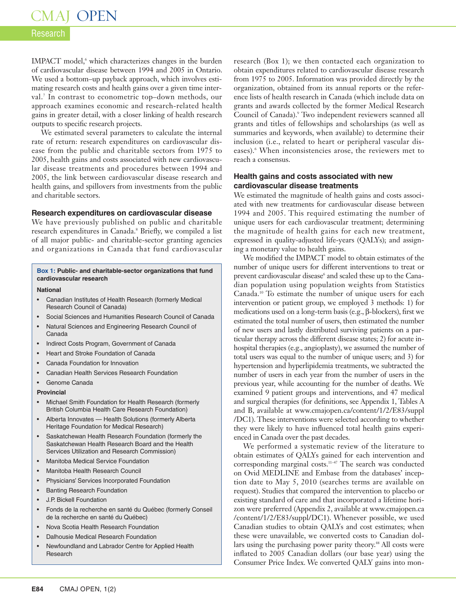# CMAJ OPEN

## Research

IMPACT model, <sup>6</sup> which characterizes changes in the burden of cardiovascular disease between 1994 and 2005 in Ontario. We used a bottom–up payback approach, which involves estimating research costs and health gains over a given time interval. <sup>7</sup> In contrast to econometric top–down methods, our approach examines economic and research-related health gains in greater detail, with a closer linking of health research outputs to specific research projects.

We estimated several parameters to calculate the internal rate of return: research expenditures on cardiovascular disease from the public and charitable sectors from 1975 to 2005, health gains and costs associated with new cardiovascular disease treatments and procedures between 1994 and 2005, the link between cardiovascular disease research and health gains, and spillovers from investments from the public and charitable sectors.

### **Research expenditures on cardiovascular disease**

We have previously published on public and charitable research expenditures in Canada. <sup>8</sup> Briefly, we compiled a list of all major public- and charitable-sector granting agencies and organizations in Canada that fund cardiovascular

#### **Box 1: Public- and charitable-sector organizations that fund cardiovascular research**

#### **National**

- Canadian Institutes of Health Research (formerly Medical Research Council of Canada)
- Social Sciences and Humanities Research Council of Canada
- Natural Sciences and Engineering Research Council of Canada
- Indirect Costs Program, Government of Canada
- Heart and Stroke Foundation of Canada
- Canada Foundation for Innovation
- Canadian Health Services Research Foundation
- Genome Canada

#### **Provincial**

- Michael Smith Foundation for Health Research (formerly British Columbia Health Care Research Foundation)
- Alberta Innovates Health Solutions (formerly Alberta Heritage Foundation for Medical Research)
- Saskatchewan Health Research Foundation (formerly the Saskatchewan Health Research Board and the Health Services Utilization and Research Commission)
- Manitoba Medical Service Foundation
- Manitoba Health Research Council
- Physicians' Services Incorporated Foundation
- **Banting Research Foundation**
- J.P. Bickell Foundation
- Fonds de la recherche en santé du Québec (formerly Conseil de la recherche en santé du Québec)
- Nova Scotia Health Research Foundation
- Dalhousie Medical Research Foundation
- Newfoundland and Labrador Centre for Applied Health Research

research (Box 1); we then contacted each organization to obtain expenditures related to cardiovascular disease research from 1975 to 2005. Information was provided directly by the organization, obtained from its annual reports or the reference lists of health research in Canada (which include data on grants and awards collected by the former Medical Research Council of Canada). <sup>9</sup> Two independent reviewers scanned all grants and titles of fellowships and scholarships (as well as summaries and keywords, when available) to determine their inclusion (i.e., related to heart or peripheral vascular diseases). <sup>6</sup> When inconsistencies arose, the reviewers met to reach a consensus.

## **Health gains and costs associated with new cardiovascular disease treatments**

We estimated the magnitude of health gains and costs associated with new treatments for cardiovascular disease between 1994 and 2005. This required estimating the number of unique users for each cardiovascular treatment; determining the magnitude of health gains for each new treatment, expressed in quality-adjusted life-years (QALYs); and assigning a monetary value to health gains.

We modified the IMPACT model to obtain estimates of the number of unique users for different interventions to treat or prevent cardiovascular disease<sup>6</sup> and scaled these up to the Canadian population using population weights from Statistics Canada. <sup>10</sup> To estimate the number of unique users for each intervention or patient group, we employed 3 methods: 1) for medications used on a long-term basis (e.g., β-blockers), first we estimated the total number of users, then estimated the number of new users and lastly distributed surviving patients on a particular therapy across the different disease states; 2) for acute inhospital therapies (e.g., angioplasty), we assumed the number of total users was equal to the number of unique users; and 3) for hypertension and hyperlipidemia treatments, we subtracted the number of users in each year from the number of users in the previous year, while accounting for the number of deaths. We examined 9 patient groups and interventions, and 47 medical and surgical therapies (for definitions, see Appendix 1, Tables A and B, available at www.cmajopen.ca/content/1/2/E83/suppl /DC1). These interventions were selected according to whether they were likely to have influenced total health gains experienced in Canada over the past decades.

We performed a systematic review of the literature to obtain estimates of QALYs gained for each intervention and corresponding marginal costs. 11–47 The search was conducted on Ovid MEDLINE and Embase from the databases' inception date to May 5, 2010 (searches terms are available on request). Studies that compared the intervention to placebo or existing standard of care and that incorporated a lifetime horizon were preferred (Appendix 2, available at www.cmajopen.ca /content/1/2/E83/suppl/DC1). Whenever possible, we used Canadian studies to obtain QALYs and cost estimates; when these were unavailable, we converted costs to Canadian dollars using the purchasing power parity theory. <sup>48</sup> All costs were inflated to 2005 Canadian dollars (our base year) using the Consumer Price Index. We converted QALY gains into mon-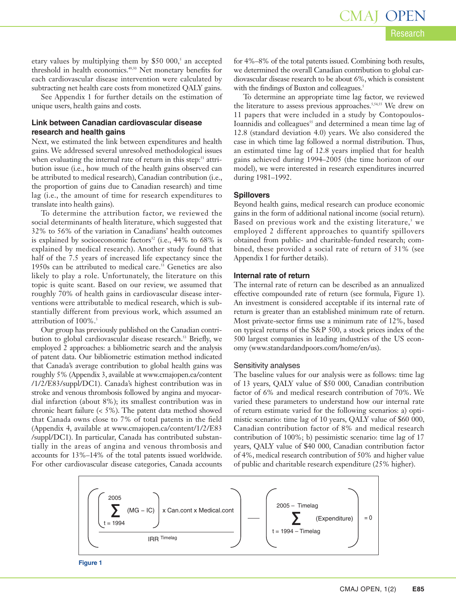etary values by multiplying them by \$50 000, <sup>5</sup> an accepted threshold in health economics. 49,50 Net monetary benefits for each cardiovascular disease intervention were calculated by subtracting net health care costs from monetized QALY gains.

See Appendix 1 for further details on the estimation of unique users, health gains and costs.

## **Link between Canadian cardiovascular disease research and health gains**

Next, we estimated the link between expenditures and health gains. We addressed several unresolved methodological issues when evaluating the internal rate of return in this step:<sup>51</sup> attribution issue (i.e., how much of the health gains observed can be attributed to medical research), Canadian contribution (i.e., the proportion of gains due to Canadian research) and time lag (i.e., the amount of time for research expenditures to translate into health gains).

To determine the attribution factor, we reviewed the social determinants of health literature, which suggested that 32% to 56% of the variation in Canadians' health outcomes is explained by socioeconomic factors <sup>52</sup> (i.e., 44% to 68% is explained by medical research). Another study found that half of the 7.5 years of increased life expectancy since the 1950s can be attributed to medical care. <sup>53</sup> Genetics are also likely to play a role. Unfortunately, the literature on this topic is quite scant. Based on our review, we assumed that roughly 70% of health gains in cardiovascular disease interventions were attributable to medical research, which is substantially different from previous work, which assumed an attribution of 100%. 5

Our group has previously published on the Canadian contribution to global cardiovascular disease research. <sup>53</sup> Briefly, we employed 2 approaches: a bibliometric search and the analysis of patent data. Our bibliometric estimation method indicated that Canada's average contribution to global health gains was roughly 5% (Appendix 3, available at www.cmajopen.ca/content /1/2/E83/suppl/DC1). Canada's highest contribution was in stroke and venous thrombosis followed by angina and myocardial infarction (about 8%); its smallest contribution was in chronic heart failure (< 5%). The patent data method showed that Canada owns close to 7% of total patents in the field (Appendix 4, available at www.cmajopen.ca/content/1/2/E83 /suppl/DC1). In particular, Canada has contributed substantially in the areas of angina and venous thrombosis and accounts for 13%–14% of the total patents issued worldwide. For other cardiovascular disease categories, Canada accounts

for 4%–8% of the total patents issued. Combining both results, we determined the overall Canadian contribution to global cardiovascular disease research to be about 6%, which is consistent with the findings of Buxton and colleagues. 5

To determine an appropriate time lag factor, we reviewed the literature to assess previous approaches. 5,54,55 We drew on 11 papers that were included in a study by Contopoulos-Ioannidis and colleagues<sup>55</sup> and determined a mean time lag of 12.8 (standard deviation 4.0) years. We also considered the case in which time lag followed a normal distribution. Thus, an estimated time lag of 12.8 years implied that for health gains achieved during 1994–2005 (the time horizon of our model), we were interested in research expenditures incurred during 1981–1992.

### **Spillovers**

Beyond health gains, medical research can produce economic gains in the form of additional national income (social return). Based on previous work and the existing literature, <sup>5</sup> we employed 2 different approaches to quantify spillovers obtained from public- and charitable-funded research; combined, these provided a social rate of return of 31% (see Appendix 1 for further details).

### **Internal rate of return**

The internal rate of return can be described as an annualized effective compounded rate of return (see formula, Figure 1). An investment is considered acceptable if its internal rate of return is greater than an established minimum rate of return. Most private-sector firms use a minimum rate of 12%, based on typical returns of the S&P 500, a stock prices index of the 500 largest companies in leading industries of the US economy (www.standardandpoors.com/home/en/us).

#### Sensitivity analyses

The baseline values for our analysis were as follows: time lag of 13 years, QALY value of \$50 000, Canadian contribution factor of 6% and medical research contribution of 70%. We varied these parameters to understand how our internal rate of return estimate varied for the following scenarios: a) optimistic scenario: time lag of 10 years, QALY value of \$60 000, Canadian contribution factor of 8% and medical research contribution of 100%; b) pessimistic scenario: time lag of 17 years, QALY value of \$40 000, Canadian contribution factor of 4%, medical research contribution of 50% and higher value of public and charitable research expenditure (25% higher).

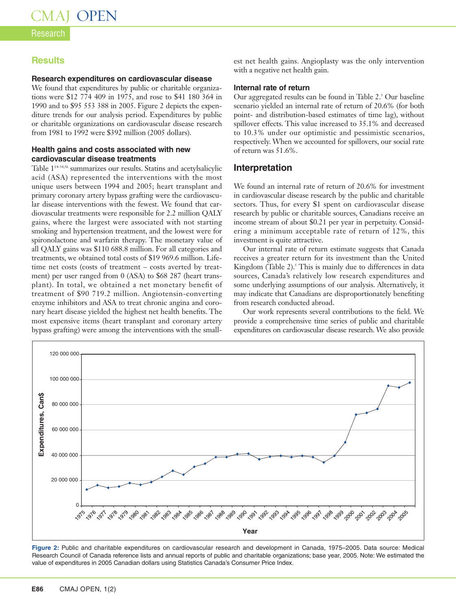## Research

## **Results**

### **Research expenditures on cardiovascular disease**

We found that expenditures by public or charitable organizations were \$12 774 409 in 1975, and rose to \$41 180 364 in 1990 and to \$95 553 388 in 2005. Figure 2 depicts the expenditure trends for our analysis period. Expenditures by public or charitable organizations on cardiovascular disease research from 1981 to 1992 were \$392 million (2005 dollars).

## **Health gains and costs associated with new cardiovascular disease treatments**

Table 114–54,56 summarizes our results. Statins and acetylsalicylic acid (ASA) represented the interventions with the most unique users between 1994 and 2005; heart transplant and primary coronary artery bypass grafting were the cardiovascular disease interventions with the fewest. We found that cardiovascular treatments were responsible for 2.2 million QALY gains, where the largest were associated with not starting smoking and hypertension treatment, and the lowest were for spironolactone and warfarin therapy. The monetary value of all QALY gains was \$110 688.8 million. For all categories and treatments, we obtained total costs of \$19 969.6 million. Lifetime net costs (costs of treatment – costs averted by treatment) per user ranged from 0 (ASA) to \$68 287 (heart transplant). In total, we obtained a net monetary benefit of treatment of \$90 719.2 million. Angiotensin-converting enzyme inhibitors and ASA to treat chronic angina and coronary heart disease yielded the highest net health benefits. The most expensive items (heart transplant and coronary artery bypass grafting) were among the interventions with the smallest net health gains. Angioplasty was the only intervention with a negative net health gain.

### **Internal rate of return**

Our aggregated results can be found in Table 2. <sup>5</sup> Our baseline scenario yielded an internal rate of return of 20.6% (for both point- and distribution-based estimates of time lag), without spillover effects. This value increased to 35.1% and decreased to 10.3% under our optimistic and pessimistic scenarios, respectively. When we accounted for spillovers, our social rate of return was 51.6%.

## **Interpretation**

We found an internal rate of return of 20.6% for investment in cardiovascular disease research by the public and charitable sectors. Thus, for every \$1 spent on cardiovascular disease research by public or charitable sources, Canadians receive an income stream of about \$0.21 per year in perpetuity. Considering a minimum acceptable rate of return of 12%, this investment is quite attractive.

Our internal rate of return estimate suggests that Canada receives a greater return for its investment than the United Kingdom (Table 2). <sup>5</sup> This is mainly due to differences in data sources, Canada's relatively low research expenditures and some underlying assumptions of our analysis. Alternatively, it may indicate that Canadians are disproportionately benefiting from research conducted abroad.

Our work represents several contributions to the field. We provide a comprehensive time series of public and charitable expenditures on cardiovascular disease research. We also provide



**Figure 2:** Public and charitable expenditures on cardiovascular research and development in Canada, 1975–2005. Data source: Medical Research Council of Canada reference lists and annual reports of public and charitable organizations; base year, 2005. Note: We estimated the value of expenditures in 2005 Canadian dollars using Statistics Canada's Consumer Price Index.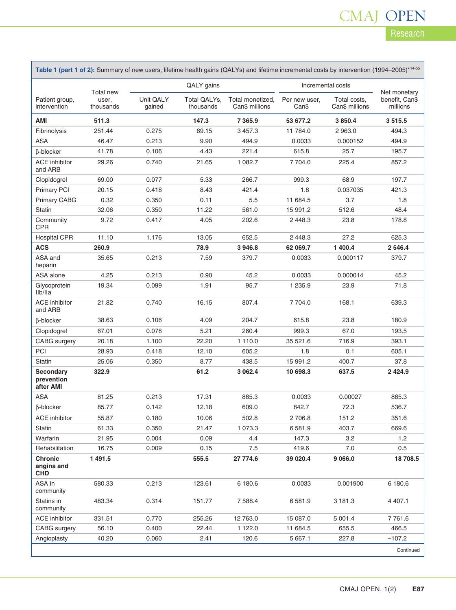## Research CMAJ OPEN

٦

| Table 1 (part 1 of 2): Summary of new users, lifetime health gains (QALYs) and lifetime incremental costs by intervention (1994-2005)*14-55 |                                 |                     |                           |                                    |                        |                                |                            |  |  |
|---------------------------------------------------------------------------------------------------------------------------------------------|---------------------------------|---------------------|---------------------------|------------------------------------|------------------------|--------------------------------|----------------------------|--|--|
|                                                                                                                                             | Total new<br>user,<br>thousands | QALY gains          |                           |                                    | Incremental costs      |                                | Net monetary               |  |  |
| Patient group,<br>intervention                                                                                                              |                                 | Unit QALY<br>gained | Total QALYs,<br>thousands | Total monetized,<br>Can\$ millions | Per new user,<br>Can\$ | Total costs,<br>Can\$ millions | benefit, Can\$<br>millions |  |  |
| AMI                                                                                                                                         | 511.3                           |                     | 147.3                     | 7 3 6 5.9                          | 53 677.2               | 3850.4                         | 3515.5                     |  |  |
| Fibrinolysis                                                                                                                                | 251.44                          | 0.275               | 69.15                     | 3457.3                             | 11 784.0               | 2963.0                         | 494.3                      |  |  |
| ASA                                                                                                                                         | 46.47                           | 0.213               | 9.90                      | 494.9                              | 0.0033                 | 0.000152                       | 494.9                      |  |  |
| β-blocker                                                                                                                                   | 41.78                           | 0.106               | 4.43                      | 221.4                              | 615.8                  | 25.7                           | 195.7                      |  |  |
| <b>ACE</b> inhibitor<br>and ARB                                                                                                             | 29.26                           | 0.740               | 21.65                     | 1 0 8 2.7                          | 7704.0                 | 225.4                          | 857.2                      |  |  |
| Clopidogrel                                                                                                                                 | 69.00                           | 0.077               | 5.33                      | 266.7                              | 999.3                  | 68.9                           | 197.7                      |  |  |
| <b>Primary PCI</b>                                                                                                                          | 20.15                           | 0.418               | 8.43                      | 421.4                              | 1.8                    | 0.037035                       | 421.3                      |  |  |
| <b>Primary CABG</b>                                                                                                                         | 0.32                            | 0.350               | 0.11                      | 5.5                                | 11 684.5               | 3.7                            | 1.8                        |  |  |
| <b>Statin</b>                                                                                                                               | 32.06                           | 0.350               | 11.22                     | 561.0                              | 15 991.2               | 512.6                          | 48.4                       |  |  |
| Community<br><b>CPR</b>                                                                                                                     | 9.72                            | 0.417               | 4.05                      | 202.6                              | 2448.3                 | 23.8                           | 178.8                      |  |  |
| <b>Hospital CPR</b>                                                                                                                         | 11.10                           | 1.176               | 13.05                     | 652.5                              | 2 4 4 8 . 3            | 27.2                           | 625.3                      |  |  |
| <b>ACS</b>                                                                                                                                  | 260.9                           |                     | 78.9                      | 3946.8                             | 62 069.7               | 1 400.4                        | 2 5 4 6.4                  |  |  |
| ASA and<br>heparin                                                                                                                          | 35.65                           | 0.213               | 7.59                      | 379.7                              | 0.0033                 | 0.000117                       | 379.7                      |  |  |
| ASA alone                                                                                                                                   | 4.25                            | 0.213               | 0.90                      | 45.2                               | 0.0033                 | 0.000014                       | 45.2                       |  |  |
| Glycoprotein<br>Ilb/Ila                                                                                                                     | 19.34                           | 0.099               | 1.91                      | 95.7                               | 1 2 3 5 . 9            | 23.9                           | 71.8                       |  |  |
| <b>ACE</b> inhibitor<br>and ARB                                                                                                             | 21.82                           | 0.740               | 16.15                     | 807.4                              | 7704.0                 | 168.1                          | 639.3                      |  |  |
| β-blocker                                                                                                                                   | 38.63                           | 0.106               | 4.09                      | 204.7                              | 615.8                  | 23.8                           | 180.9                      |  |  |
| Clopidogrel                                                                                                                                 | 67.01                           | 0.078               | 5.21                      | 260.4                              | 999.3                  | 67.0                           | 193.5                      |  |  |
| <b>CABG</b> surgery                                                                                                                         | 20.18                           | 1.100               | 22.20                     | 1 1 1 0 . 0                        | 35 521.6               | 716.9                          | 393.1                      |  |  |
| PCI                                                                                                                                         | 28.93                           | 0.418               | 12.10                     | 605.2                              | 1.8                    | 0.1                            | 605.1                      |  |  |
| Statin                                                                                                                                      | 25.06                           | 0.350               | 8.77                      | 438.5                              | 15 991.2               | 400.7                          | 37.8                       |  |  |
| <b>Secondary</b><br>prevention<br>after AMI                                                                                                 | 322.9                           |                     | 61.2                      | 3 062.4                            | 10 698.3               | 637.5                          | 2 4 2 4 . 9                |  |  |
| <b>ASA</b>                                                                                                                                  | 81.25                           | 0.213               | 17.31                     | 865.3                              | 0.0033                 | 0.00027                        | 865.3                      |  |  |
| <b>B-blocker</b>                                                                                                                            | 85.77                           | 0.142               | 12.18                     | 609.0                              | 842.7                  | 72.3                           | 536.7                      |  |  |
| ACE inhibitor                                                                                                                               | 55.87                           | 0.180               | 10.06                     | 502.8                              | 2 706.8                | 151.2                          | 351.6                      |  |  |
| Statin                                                                                                                                      | 61.33                           | 0.350               | 21.47                     | 1 0 7 3 . 3                        | 6581.9                 | 403.7                          | 669.6                      |  |  |
| Warfarin                                                                                                                                    | 21.95                           | 0.004               | 0.09                      | 4.4                                | 147.3                  | 3.2                            | 1.2                        |  |  |
| Rehabilitation                                                                                                                              | 16.75                           | 0.009               | 0.15                      | $7.5$                              | 419.6                  | $7.0$                          | 0.5                        |  |  |
| <b>Chronic</b><br>angina and<br><b>CHD</b>                                                                                                  | 1 491.5                         |                     | 555.5                     | 27 774.6                           | 39 020.4               | 9 0 66.0                       | 18 708.5                   |  |  |
| ASA in<br>community                                                                                                                         | 580.33                          | 0.213               | 123.61                    | 6 180.6                            | 0.0033                 | 0.001900                       | 6 180.6                    |  |  |
| Statins in<br>community                                                                                                                     | 483.34                          | 0.314               | 151.77                    | 7588.4                             | 6 581.9                | 3 181.3                        | 4 4 0 7.1                  |  |  |
| <b>ACE</b> inhibitor                                                                                                                        | 331.51                          | 0.770               | 255.26                    | 12 763.0                           | 15 087.0               | 5 001.4                        | 7761.6                     |  |  |
| CABG surgery                                                                                                                                | 56.10                           | 0.400               | 22.44                     | 1 1 2 2.0                          | 11 684.5               | 655.5                          | 466.5                      |  |  |
| Angioplasty                                                                                                                                 | 40.20                           | 0.060               | 2.41                      | 120.6                              | 5 667.1                | 227.8                          | $-107.2$                   |  |  |
|                                                                                                                                             |                                 |                     |                           |                                    |                        |                                | Continued                  |  |  |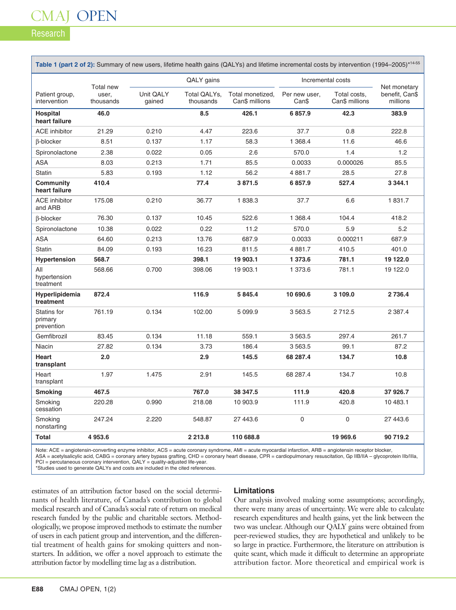## CMAJ OPEN

Research

| Table 1 (part 2 of 2): Summary of new users, lifetime health gains (QALYs) and lifetime incremental costs by intervention (1994-2005)*14-55 |                                        |                     |                           |                                    |                        |                                |                                            |  |  |
|---------------------------------------------------------------------------------------------------------------------------------------------|----------------------------------------|---------------------|---------------------------|------------------------------------|------------------------|--------------------------------|--------------------------------------------|--|--|
|                                                                                                                                             |                                        | QALY gains          |                           |                                    | Incremental costs      |                                |                                            |  |  |
| Patient group,<br>intervention                                                                                                              | <b>Total new</b><br>user,<br>thousands | Unit QALY<br>gained | Total QALYs,<br>thousands | Total monetized,<br>Can\$ millions | Per new user,<br>Can\$ | Total costs,<br>Can\$ millions | Net monetary<br>benefit, Can\$<br>millions |  |  |
| <b>Hospital</b><br>heart failure                                                                                                            | 46.0                                   |                     | 8.5                       | 426.1                              | 6857.9                 | 42.3                           | 383.9                                      |  |  |
| <b>ACE</b> inhibitor                                                                                                                        | 21.29                                  | 0.210               | 4.47                      | 223.6                              | 37.7                   | 0.8                            | 222.8                                      |  |  |
| <b>B-blocker</b>                                                                                                                            | 8.51                                   | 0.137               | 1.17                      | 58.3                               | 1 3 68.4               | 11.6                           | 46.6                                       |  |  |
| Spironolactone                                                                                                                              | 2.38                                   | 0.022               | 0.05                      | 2.6                                | 570.0                  | 1.4                            | 1.2                                        |  |  |
| <b>ASA</b>                                                                                                                                  | 8.03                                   | 0.213               | 1.71                      | 85.5                               | 0.0033                 | 0.000026                       | 85.5                                       |  |  |
| <b>Statin</b>                                                                                                                               | 5.83                                   | 0.193               | 1.12                      | 56.2                               | 4881.7                 | 28.5                           | 27.8                                       |  |  |
| Community<br>heart failure                                                                                                                  | 410.4                                  |                     | 77.4                      | 3871.5                             | 6857.9                 | 527.4                          | 3 3 4 4.1                                  |  |  |
| <b>ACE</b> inhibitor<br>and ARB                                                                                                             | 175.08                                 | 0.210               | 36.77                     | 1838.3                             | 37.7                   | 6.6                            | 1831.7                                     |  |  |
| $\beta$ -blocker                                                                                                                            | 76.30                                  | 0.137               | 10.45                     | 522.6                              | 1 368.4                | 104.4                          | 418.2                                      |  |  |
| Spironolactone                                                                                                                              | 10.38                                  | 0.022               | 0.22                      | 11.2                               | 570.0                  | 5.9                            | 5.2                                        |  |  |
| <b>ASA</b>                                                                                                                                  | 64.60                                  | 0.213               | 13.76                     | 687.9                              | 0.0033                 | 0.000211                       | 687.9                                      |  |  |
| <b>Statin</b>                                                                                                                               | 84.09                                  | 0.193               | 16.23                     | 811.5                              | 4881.7                 | 410.5                          | 401.0                                      |  |  |
| <b>Hypertension</b>                                                                                                                         | 568.7                                  |                     | 398.1                     | 19 903.1                           | 1 373.6                | 781.1                          | 19 122.0                                   |  |  |
| All<br>hypertension<br>treatment                                                                                                            | 568.66                                 | 0.700               | 398.06                    | 19 903.1                           | 1 373.6                | 781.1                          | 19 122.0                                   |  |  |
| Hyperlipidemia<br>treatment                                                                                                                 | 872.4                                  |                     | 116.9                     | 5 845.4                            | 10 690.6               | 3 109.0                        | 2 7 3 6.4                                  |  |  |
| Statins for<br>primary<br>prevention                                                                                                        | 761.19                                 | 0.134               | 102.00                    | 5 0 9 9.9                          | 3 5 6 3.5              | 2712.5                         | 2 3 8 7 . 4                                |  |  |
| Gemfibrozil                                                                                                                                 | 83.45                                  | 0.134               | 11.18                     | 559.1                              | 3563.5                 | 297.4                          | 261.7                                      |  |  |
| Niacin                                                                                                                                      | 27.82                                  | 0.134               | 3.73                      | 186.4                              | 3563.5                 | 99.1                           | 87.2                                       |  |  |
| <b>Heart</b><br>transplant                                                                                                                  | 2.0                                    |                     | 2.9                       | 145.5                              | 68 287.4               | 134.7                          | 10.8                                       |  |  |
| Heart<br>transplant                                                                                                                         | 1.97                                   | 1.475               | 2.91                      | 145.5                              | 68 287.4               | 134.7                          | 10.8                                       |  |  |
| <b>Smoking</b>                                                                                                                              | 467.5                                  |                     | 767.0                     | 38 347.5                           | 111.9                  | 420.8                          | 37 926.7                                   |  |  |
| Smoking<br>cessation                                                                                                                        | 220.28                                 | 0.990               | 218.08                    | 10 903.9                           | 111.9                  | 420.8                          | 10 483.1                                   |  |  |
| Smoking<br>nonstarting                                                                                                                      | 247.24                                 | 2.220               | 548.87                    | 27 443.6                           | $\mathbf 0$            | $\mathsf 0$                    | 27 443.6                                   |  |  |
| <b>Total</b>                                                                                                                                | 4 953.6                                |                     | 2 2 1 3 . 8               | 110 688.8                          |                        | 19 969.6                       | 90 719.2                                   |  |  |

Note: ACE = angiotensin-converting enzyme inhibitor, ACS = acute coronary syndrome, AMI = acute myocardial infarction, ARB = angiotensin receptor blocker, ASA = acetylsalicylic acid, CABG = coronary artery bypass grafting, CHD = coronary heart disease, CPR = cardiopulmonary resuscitation, Gp IIB/IIA – glycoprotein IIb/IIIa, PCI = percutaneous coronary intervention, QALY = quality-adjusted life-year.

\*Studies used to generate QALYs and costs are included in the cited references.

estimates of an attribution factor based on the social determinants of health literature, of Canada's contribution to global medical research and of Canada's social rate of return on medical research funded by the public and charitable sectors. Methodologically, we propose improved methods to estimate the number of users in each patient group and intervention, and the differential treatment of health gains for smoking quitters and nonstarters. In addition, we offer a novel approach to estimate the attribution factor by modelling time lag as a distribution.

### **Limitations**

Our analysis involved making some assumptions; accordingly, there were many areas of uncertainty. We were able to calculate research expenditures and health gains, yet the link between the two was unclear. Although our QALY gains were obtained from peer-reviewed studies, they are hypothetical and unlikely to be so large in practice. Furthermore, the literature on attribution is quite scant, which made it difficult to determine an appropriate attribution factor. More theoretical and empirical work is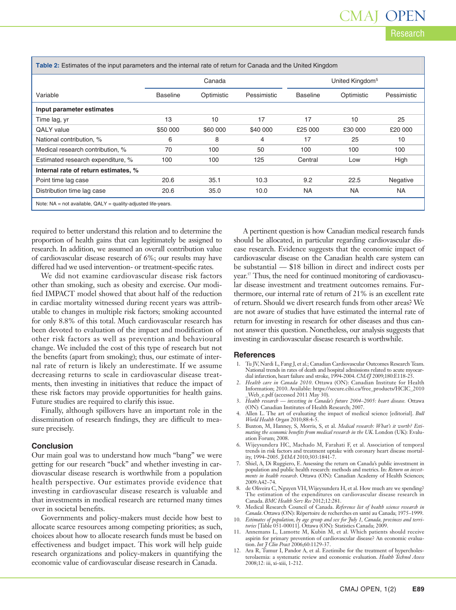## Research CMAJ OPEN

**Table 2:** Estimates of the input parameters and the internal rate of return for Canada and the United Kingdom

|                                                                     | Canada          |            |             | United Kingdom <sup>5</sup> |            |             |
|---------------------------------------------------------------------|-----------------|------------|-------------|-----------------------------|------------|-------------|
| Variable                                                            | <b>Baseline</b> | Optimistic | Pessimistic | <b>Baseline</b>             | Optimistic | Pessimistic |
| Input parameter estimates                                           |                 |            |             |                             |            |             |
| Time lag, yr                                                        | 13              | 10         | 17          | 17                          | 10         | 25          |
| <b>QALY</b> value                                                   | \$50 000        | \$60 000   | \$40 000    | £25 000                     | £30 000    | £20 000     |
| National contribution, %                                            | 6               | 8          | 4           | 17                          | 25         | 10          |
| Medical research contribution, %                                    | 70              | 100        | 50          | 100                         | 100        | 100         |
| Estimated research expenditure, %                                   | 100             | 100        | 125         | Central                     | Low        | High        |
| Internal rate of return estimates, %                                |                 |            |             |                             |            |             |
| Point time lag case                                                 | 20.6            | 35.1       | 10.3        | 9.2                         | 22.5       | Negative    |
| Distribution time lag case                                          | 20.6            | 35.0       | 10.0        | <b>NA</b>                   | <b>NA</b>  | <b>NA</b>   |
| Note: $NA = not available$ , $QALY = quality-adjusted life-years$ . |                 |            |             |                             |            |             |

required to better understand this relation and to determine the proportion of health gains that can legitimately be assigned to research. In addition, we assumed an overall contribution value of cardiovascular disease research of 6%; our results may have differed had we used intervention- or treatment-specific rates.

We did not examine cardiovascular disease risk factors other than smoking, such as obesity and exercise. Our modified IMPACT model showed that about half of the reduction in cardiac mortality witnessed during recent years was attributable to changes in multiple risk factors; smoking accounted for only 8.8% of this total. Much cardiovascular research has been devoted to evaluation of the impact and modification of other risk factors as well as prevention and behavioural change. We included the cost of this type of research but not the benefits (apart from smoking); thus, our estimate of internal rate of return is likely an underestimate. If we assume decreasing returns to scale in cardiovascular disease treatments, then investing in initiatives that reduce the impact of these risk factors may provide opportunities for health gains. Future studies are required to clarify this issue.

Finally, although spillovers have an important role in the dissemination of research findings, they are difficult to measure precisely.

### **Conclusion**

Our main goal was to understand how much "bang" we were getting for our research "buck" and whether investing in cardiovascular disease research is worthwhile from a population health perspective. Our estimates provide evidence that investing in cardiovascular disease research is valuable and that investments in medical research are returned many times over in societal benefits.

Governments and policy-makers must decide how best to allocate scarce resources among competing priorities; as such, choices about how to allocate research funds must be based on effectiveness and budget impact. This work will help guide research organizations and policy-makers in quantifying the economic value of cardiovascular disease research in Canada.

A pertinent question is how Canadian medical research funds should be allocated, in particular regarding cardiovascular disease research. Evidence suggests that the economic impact of cardiovascular disease on the Canadian health care system can be substantial — \$18 billion in direct and indirect costs per year. <sup>57</sup> Thus, the need for continued monitoring of cardiovascular disease investment and treatment outcomes remains. Furthermore, our internal rate of return of 21% is an excellent rate of return. Should we divert research funds from other areas? We are not aware of studies that have estimated the internal rate of return for investing in research for other diseases and thus cannot answer this question. Nonetheless, our analysis suggests that investing in cardiovascular disease research is worthwhile.

### **References**

- 1. Tu JV, Nardi L, Fang J, et al.; Canadian Cardiovascular Outcomes Research Team. National trends in rates of death and hospital admissions related to acute myocardial infarction, heart failure and stroke, 1994-2004. *CMAJ* 2009;180:E118-25.
- 2. *Health care in Canada 2010*. Ottawa (ON): Canadian Institute for Health Information; 2010. Available: https://secure.cihi.ca/free\_products/HCIC\_2010 \_Web\_e.pdf (accessed 2011 May 30).
- 3. *Health research — investing in Canada's future 2004–2005: heart disease.* Ottawa (ON): Canadian Institutes of Health Research; 2007.
- 4. Allen L. The art of evaluating the impact of medical science [editorial]. *Bull World Health Organ* 2010;88:4-5.
- 5. Buxton, M, Hanney, S, Morris, S, et al. *Medical research: What's it worth? Estimating the economic benefits from medical research in the UK*. London (UK): Evaluation Forum; 2008.
- 6. Wijeysundera HC, Machado M, Farahati F, et al. Association of temporal trends in risk factors and treatment uptake with coronary heart disease mortality, 1994–2005. *JAMA* 2010;303:1841-7.
- 7. Shiel, A, Di Ruggiero, E. Assessing the return on Canada's public investment in population and public health research: methods and metrics. In: *Return on investments in health research*. Ottawa (ON): Canadian Academy of Health Sciences; 2009:A42–74.
- 8. de Oliveira C, Nguyen VH, Wijeysundera H, et al. How much are we spending? The estimation of the expenditures on cardiovascular disease research in Canada. *BMC Health Serv Res* 2012;12:281.
- 9. Medical Research Council of Canada. *Reference list of health science research in*
- *Canada*. Ottawa (ON): Répertoire de recherches en santé au Canada; 1975–1999. 10. *Estimates of population, by age group and sex for July 1, Canada, provinces and territories* [Table 051-00011]. Ottawa (ON): Statistics Canada; 2009.
- 11. Annemans L, Lamotte M, Kubin M, et al. Which patients should receive aspirin for primary prevention of cardiovascular disease? An economic evaluation. *Int J Clin Pract* 2006;60:1129-37.
- 12. Ara R, Tumur I, Pandor A, et al. Ezetimibe for the treatment of hypercholesterolaemia: a systematic review and economic evaluation. *Health Technol Assess* 2008;12: iii, xi-xiii, 1-212.